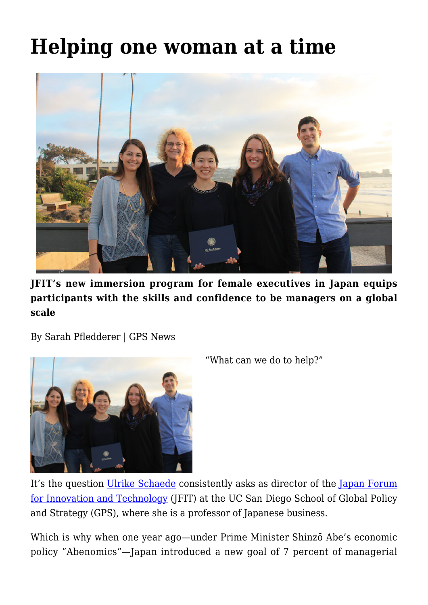## **[Helping one woman at a time](https://gpsnews.ucsd.edu/helping-one-woman-at-a-time/)**



**JFIT's new immersion program for female executives in Japan equips participants with the skills and confidence to be managers on a global scale**

By Sarah Pfledderer | GPS News



"What can we do to help?"

It's the question [Ulrike Schaede](mailto:http://gps.ucsd.edu/faculty-directory/ulrike-schaede.html) consistently asks as director of the [Japan Forum](http://jfit.ucsd.edu/) [for Innovation and Technology](http://jfit.ucsd.edu/) (JFIT) at the UC San Diego School of Global Policy and Strategy (GPS), where she is a professor of Japanese business.

Which is why when one year ago—under Prime Minister Shinzō Abe's economic policy "Abenomics"—Japan introduced a new goal of 7 percent of managerial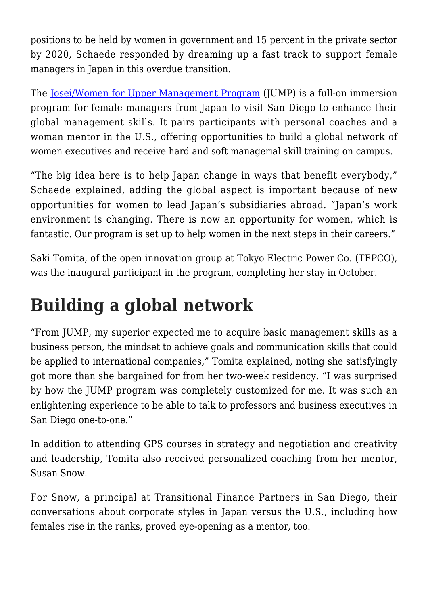positions to be held by women in government and 15 percent in the private sector by 2020, Schaede responded by dreaming up a fast track to support female managers in Japan in this overdue transition.

The [Josei/Women for Upper Management Program](http://jfit.ucsd.edu/programs/jump.html) (JUMP) is a full-on immersion program for female managers from Japan to visit San Diego to enhance their global management skills. It pairs participants with personal coaches and a woman mentor in the U.S., offering opportunities to build a global network of women executives and receive hard and soft managerial skill training on campus.

"The big idea here is to help Japan change in ways that benefit everybody," Schaede explained, adding the global aspect is important because of new opportunities for women to lead Japan's subsidiaries abroad. "Japan's work environment is changing. There is now an opportunity for women, which is fantastic. Our program is set up to help women in the next steps in their careers."

Saki Tomita, of the open innovation group at Tokyo Electric Power Co. (TEPCO), was the inaugural participant in the program, completing her stay in October.

## **Building a global network**

"From JUMP, my superior expected me to acquire basic management skills as a business person, the mindset to achieve goals and communication skills that could be applied to international companies," Tomita explained, noting she satisfyingly got more than she bargained for from her two-week residency. "I was surprised by how the JUMP program was completely customized for me. It was such an enlightening experience to be able to talk to professors and business executives in San Diego one-to-one."

In addition to attending GPS courses in strategy and negotiation and creativity and leadership, Tomita also received personalized coaching from her mentor, Susan Snow.

For Snow, a principal at Transitional Finance Partners in San Diego, their conversations about corporate styles in Japan versus the U.S., including how females rise in the ranks, proved eye-opening as a mentor, too.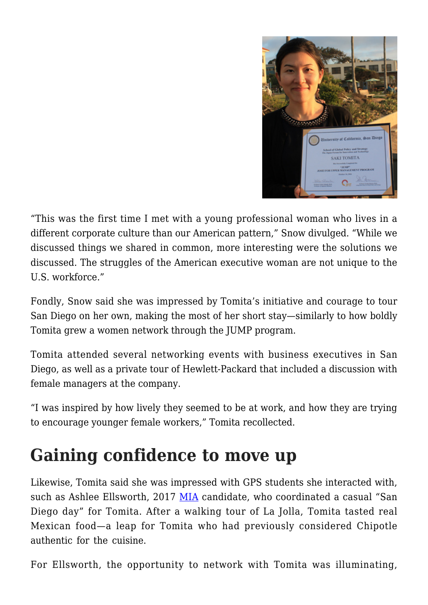

"This was the first time I met with a young professional woman who lives in a different corporate culture than our American pattern," Snow divulged. "While we discussed things we shared in common, more interesting were the solutions we discussed. The struggles of the American executive woman are not unique to the U.S. workforce."

Fondly, Snow said she was impressed by Tomita's initiative and courage to tour San Diego on her own, making the most of her short stay—similarly to how boldly Tomita grew a women network through the JUMP program.

Tomita attended several networking events with business executives in San Diego, as well as a private tour of Hewlett-Packard that included a discussion with female managers at the company.

"I was inspired by how lively they seemed to be at work, and how they are trying to encourage younger female workers," Tomita recollected.

## **Gaining confidence to move up**

Likewise, Tomita said she was impressed with GPS students she interacted with, such as Ashlee Ellsworth, 2017 [MIA](https://gps.ucsd.edu/academics/mia.html) candidate, who coordinated a casual "San Diego day" for Tomita. After a walking tour of La Jolla, Tomita tasted real Mexican food—a leap for Tomita who had previously considered Chipotle authentic for the cuisine.

For Ellsworth, the opportunity to network with Tomita was illuminating,